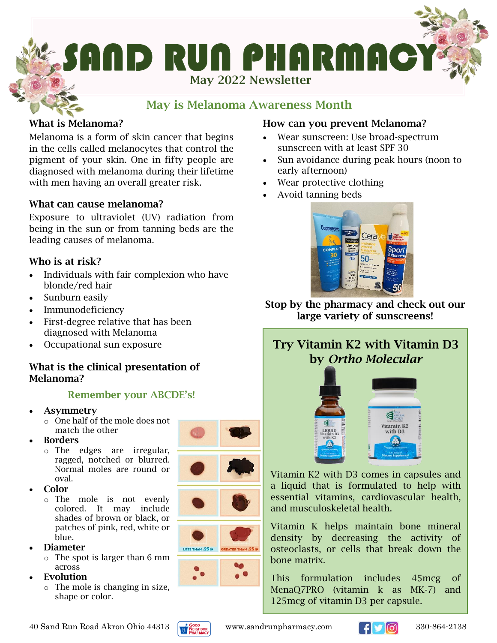

### May is Melanoma Awareness Month

#### What is Melanoma?

Melanoma is a form of skin cancer that begins in the cells called melanocytes that control the pigment of your skin. One in fifty people are diagnosed with melanoma during their lifetime with men having an overall greater risk.

#### What can cause melanoma?

Exposure to ultraviolet (UV) radiation from being in the sun or from tanning beds are the leading causes of melanoma.

#### Who is at risk?

- Individuals with fair complexion who have blonde/red hair
- Sunburn easily
- Immunodeficiency
- First-degree relative that has been diagnosed with Melanoma
- Occupational sun exposure

#### What is the clinical presentation of Melanoma?

#### Remember your ABCDE's!

- **Asymmetry** 
	- o One half of the mole does not match the other
- Borders
	- o The edges are irregular, ragged, notched or blurred. Normal moles are round or oval.
- Color
	- o The mole is not evenly colored. It may include shades of brown or black, or patches of pink, red, white or blue.
- Diameter
	- o The spot is larger than 6 mm across
- **Evolution** 
	- o The mole is changing in size, shape or color.









#### How can you prevent Melanoma?

- Wear sunscreen: Use broad-spectrum sunscreen with at least SPF 30
- Sun avoidance during peak hours (noon to early afternoon)
- Wear protective clothing
- Avoid tanning beds



Stop by the pharmacy and check out our large variety of sunscreens!

## Try Vitamin K2 with Vitamin D3 by *Ortho Molecular*



Vitamin K2 with D3 comes in capsules and a liquid that is formulated to help with essential vitamins, cardiovascular health, and musculoskeletal health.

Vitamin K helps maintain bone mineral density by decreasing the activity of osteoclasts, or cells that break down the bone matrix.

This formulation includes 45mcg of MenaQ7PRO (vitamin k as MK-7) and 125mcg of vitamin D3 per capsule.